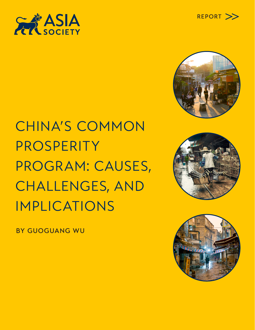





CHINA'S COMMON PROSPERITY PROGRAM: CAUSES, CHALLENGES, AND IMPLICATIONS





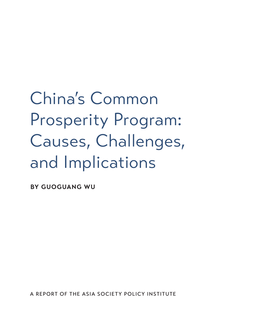China's Common Prosperity Program: Causes, Challenges, and Implications

**BY GUOGUANG WU**

A REPORT OF THE ASIA SOCIETY POLICY INSTITUTE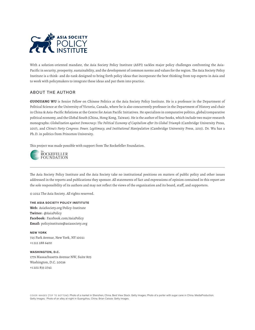

With a solution-oriented mandate, the Asia Society Policy Institute (ASPI) tackles major policy challenges confronting the Asia-Pacific in security, prosperity, sustainability, and the development of common norms and values for the region. The Asia Society Policy Institute is a think- and do-tank designed to bring forth policy ideas that incorporate the best thinking from top experts in Asia and to work with policymakers to integrate these ideas and put them into practice.

#### ABOUT THE AUTHOR

**GUOGUANG WU** is Senior Fellow on Chinese Politics at the Asia Society Policy Institute. He is a professor in the Department of Political Science at the University of Victoria, Canada, where he is also concurrently professor in the Department of History and chair in China & Asia-Pacific Relations at the Centre for Asian Pacific Initiatives. He specializes in comparative politics, global/comparative political economy, and the Global South (China, Hong Kong, Taiwan). He is the author of four books, which include two major research monographs: *Globalization against Democracy: The Political Economy of Capitalism after Its Global Triumph* (Cambridge University Press, 2017), and *China's Party Congress: Power, Legitimacy, and Institutional Manipulation* (Cambridge University Press, 2015). Dr. Wu has a Ph.D. in politics from Princeton University.

This project was made possible with support from The Rockefeller Foundation.



The Asia Society Policy Institute and the Asia Society take no institutional positions on matters of public policy and other issues addressed in the reports and publications they sponsor. All statements of fact and expressions of opinion contained in this report are the sole responsibility of its authors and may not reflect the views of the organization and its board, staff, and supporters.

© 2022 The Asia Society. All rights reserved.

**THE ASIA SOCIETY POLICY INSTITUTE**

**Web:** AsiaSociety.org/Policy-Institute **Twitter:** @AsiaPolicy **Facebook:** Facebook.com/AsiaPolicy **Email:** policyinstitute@asiasociety.org

**NEW YORK** 725 Park Avenue, New York, NY 10021 +1 212 288 6400

**WASHINGTON, D.C.** 1779 Massachusetts Avenue NW, Suite 805 Washington, D.C. 20036 +1 202 833 2742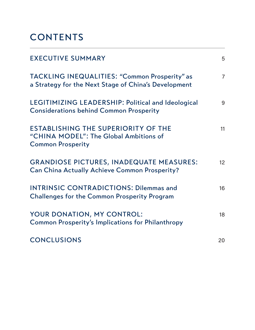# **CONTENTS**

| <b>EXECUTIVE SUMMARY</b>                                                                                         | 5              |
|------------------------------------------------------------------------------------------------------------------|----------------|
| TACKLING INEQUALITIES: "Common Prosperity" as<br>a Strategy for the Next Stage of China's Development            | $\overline{7}$ |
| LEGITIMIZING LEADERSHIP: Political and Ideological<br><b>Considerations behind Common Prosperity</b>             | 9              |
| <b>ESTABLISHING THE SUPERIORITY OF THE</b><br>"CHINA MODEL": The Global Ambitions of<br><b>Common Prosperity</b> | 11             |
| <b>GRANDIOSE PICTURES, INADEQUATE MEASURES:</b><br><b>Can China Actually Achieve Common Prosperity?</b>          | 12             |
| <b>INTRINSIC CONTRADICTIONS: Dilemmas and</b><br><b>Challenges for the Common Prosperity Program</b>             | 16             |
| YOUR DONATION, MY CONTROL:<br><b>Common Prosperity's Implications for Philanthropy</b>                           | 18             |
| <b>CONCLUSIONS</b>                                                                                               | 20             |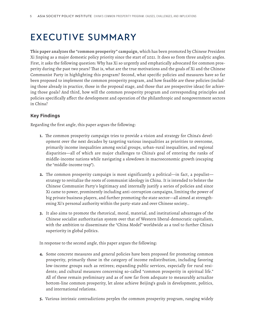## EXECUTIVE SUMMARY

**This paper analyzes the "common prosperity" campaign,** which has been promoted by Chinese President Xi Jinping as a major domestic policy priority since the start of 2021. It does so from three analytic angles. First, it asks the following question: Why has Xi so urgently and emphatically advocated for common prosperity during the past two years? That is, what are the true motivations and the goals of Xi and the Chinese Communist Party in highlighting this program? Second, what specific policies and measures have so far been proposed to implement the common prosperity program, and how feasible are these policies (including those already in practice, those in the proposal stage, and those that are prospective ideas) for achieving those goals? And third, how will the common prosperity program and corresponding principles and policies specifically affect the development and operation of the philanthropic and nongovernment sectors in China?

#### **Key Findings**

Regarding the first angle, this paper argues the following:

- **1.** The common prosperity campaign tries to provide a vision and strategy for China's development over the next decades by targeting various inequalities as priorities to overcome, primarily income inequalities among social groups, urban-rural inequalities, and regional disparities—all of which are major challenges to China's goal of entering the ranks of middle-income nations while navigating a slowdown in macroeconomic growth (escaping the "middle-income trap").
- **2.** The common prosperity campaign is most significantly a political—in fact, a populist strategy to revitalize the roots of communist ideology in China. It is intended to bolster the Chinese Communist Party's legitimacy and internally justify a series of policies and since Xi came to power, prominently including anti-corruption campaigns, limiting the power of big private business players, and further promoting the state sector—all aimed at strengthening Xi's personal authority within the party-state and over Chinese society..
- **3.** It also aims to promote the rhetorical, moral, material, and institutional advantages of the Chinese socialist authoritarian system over that of Western liberal-democratic capitalism, with the ambition to disseminate the "China Model" worldwide as a tool to further China's superiority in global politics.

In response to the second angle, this paper argues the following:

- **4.** Some concrete measures and general policies have been proposed for promoting common prosperity, primarily those in the category of income redistribution, including favoring low-income groups such as retirees; expanding public services, especially for rural residents; and cultural measures concerning so-called "common prosperity in spiritual life." All of these remain preliminary and as of now far from adequate to measurably actualize bottom-line common prosperity, let alone achieve Beijing's goals in development, politics, and international relations.
- **5.** Various intrinsic contradictions perplex the common prosperity program, ranging widely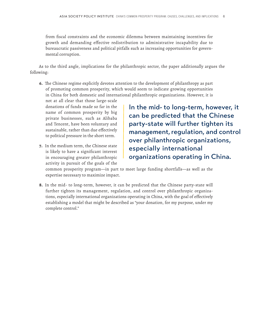from fiscal constraints and the economic dilemma between maintaining incentives for growth and demanding effective redistribution to administrative incapability due to bureaucratic passiveness and political pitfalls such as increasing opportunities for governmental corruption.

As to the third angle, implications for the philanthropic sector, the paper additionally argues the following:

**6.** The Chinese regime explicitly devotes attention to the development of philanthropy as part of promoting common prosperity, which would seem to indicate growing opportunities in China for both domestic and international philanthropic organizations. However, it is

not at all clear that those large-scale donations of funds made so far in the name of common prosperity by big private businesses, such as Alibaba and Tencent, have been voluntary and sustainable, rather than due effectively to political pressure in the short term.

**7.** In the medium term, the Chinese state is likely to have a significant interest in encouraging greater philanthropic activity in pursuit of the goals of the

In the mid- to long-term, however, it can be predicted that the Chinese party-state will further tighten its management, regulation, and control over philanthropic organizations, especially international organizations operating in China.

common prosperity program—in part to meet large funding shortfalls—as well as the expertise necessary to maximize impact.

**8.** In the mid- to long-term, however, it can be predicted that the Chinese party-state will further tighten its management, regulation, and control over philanthropic organizations, especially international organizations operating in China, with the goal of effectively establishing a model that might be described as "your donation, for my purpose, under my complete control."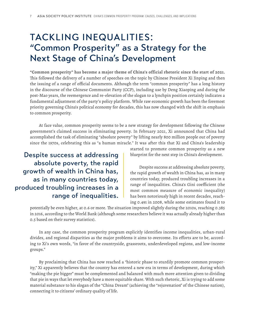### TACKLING INEQUALITIES: "Common Prosperity" as a Strategy for the Next Stage of China's Development

**"Common prosperity" has become a major theme of China's official rhetoric since the start of 2021.** This followed the delivery of a number of speeches on the topic by Chinese President Xi Jinping and then the issuing of a range of official documents. Although the term "common prosperity" has a long history in the discourse of the Chinese Communist Party (CCP), including use by Deng Xiaoping and during the post-Mao years, the reemergence and re-elevation of the slogan to a lynchpin position certainly indicates a fundamental adjustment of the party's policy platform. While raw economic growth has been the foremost priority governing China's political economy for decades, this has now changed with the shift in emphasis to common prosperity.

At face value, common prosperity seems to be a new strategy for development following the Chinese government's claimed success in eliminating poverty. In February 2021, Xi announced that China had accomplished the task of eliminating "absolute poverty" by lifting nearly 800 million people out of poverty since the 1970s, celebrating this as "a human miracle." It was after this that Xi and China's leadership

Despite success at addressing absolute poverty, the rapid growth of wealth in China has, as in many countries today, produced troubling increases in a range of inequalities.

started to promote common prosperity as a new blueprint for the next step in China's development.

Despite success at addressing absolute poverty, the rapid growth of wealth in China has, as in many countries today, produced troubling increases in a range of inequalities. China's Gini coefficient (the most common measure of economic inequality) has been notoriously high in recent decades, reaching 0.491 in 2008, while some estimates found it to

potentially be even higher, at 0.6 or more. The situation improved slightly during the 2010s, reaching 0.385 in 2016, according to the World Bank (although some researchers believe it was actually already higher than 0.5 based on their survey statistics).

In any case, the common prosperity program explicitly identifies income inequalities, urban-rural divides, and regional disparities as the major problems it aims to overcome. Its efforts are to be, according to Xi's own words, "in favor of the countryside, grassroots, underdeveloped regions, and low-income groups."

By proclaiming that China has now reached a "historic phase to sturdily promote common prosperity," Xi apparently believes that the country has entered a new era in terms of development, during which "making the pie bigger" must be complemented and balanced with much more attention given to dividing that pie in ways that let everybody have a more equitable share. With such rhetoric, Xi is trying to add some material substance to his slogan of the "China Dream" (achieving the "rejuvenation" of the Chinese nation), connecting it to citizens' ordinary quality of life.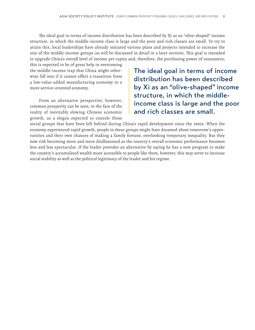The ideal goal in terms of income distribution has been described by Xi as an "olive-shaped" income structure, in which the middle-income class is large and the poor and rich classes are small. To try to attain this, local leaderships have already initiated various plans and projects intended to increase the size of the middle-income groups (as will be discussed in detail in a later section). This goal is intended to upgrade China's overall level of income per capita and, therefore, the purchasing power of consumers;

this is expected to be of great help in overcoming the middle-income trap that China might otherwise fall into if it cannot effect a transition from a low-value-added manufacturing economy to a more service-oriented economy.

From an alternative perspective, however, common prosperity can be seen, in the face of the reality of inevitably slowing Chinese economic growth, as a slogan expected to console those The ideal goal in terms of income distribution has been described by Xi as an "olive-shaped" income structure, in which the middleincome class is large and the poor and rich classes are small.

social groups that have been left behind during China's rapid development since the 1990s. When the economy experienced rapid growth, people in these groups might have dreamed about tomorrow's opportunities and their own chances of making a family fortune, overlooking temporary inequality. But they now risk becoming more and more disillusioned as the country's overall economic performance becomes less and less spectacular. If the leader provides an alternative by saying he has a new program to make the country's accumulated wealth more accessible to people like them, however, this may serve to increase social stability as well as the political legitimacy of the leader and his regime.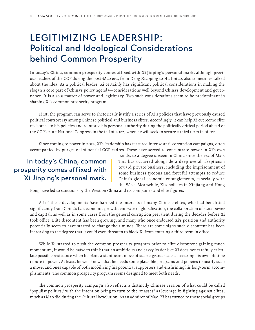## LEGITIMIZING LEADERSHIP: Political and Ideological Considerations behind Common Prosperity

**In today's China, common prosperity comes affixed with Xi Jinping's personal mark,** although previous leaders of the CCP during the post-Mao era, from Deng Xiaoping to Hu Jintao, also sometimes talked about the idea. As a political leader, Xi certainly has significant political considerations in making the slogan a core part of China's policy agenda—considerations well beyond China's development and governance. It is also a matter of power and legitimacy. Two such considerations seem to be predominant in shaping Xi's common prosperity program.

First, the program can serve to rhetorically justify a series of Xi's policies that have previously caused political controversy among Chinese political and business elites. Accordingly, it can help Xi overcome elite resistance to his policies and reinforce his personal authority during the politically critical period ahead of the CCP's 20th National Congress in the fall of 2022, when he will seek to secure a third term in office.

Since coming to power in 2012, Xi's leadership has featured intense anti-corruption campaigns, often accompanied by purges of influential CCP cadres. These have served to concentrate power in Xi's own

### In today's China, common prosperity comes affixed with Xi Jinping's personal mark.

hands, to a degree unseen in China since the era of Mao. This has occurred alongside a deep overall skepticism toward private business, including the imprisonment of some business tycoons and forceful attempts to reduce China's global economic entanglements, especially with the West. Meanwhile, Xi's policies in Xinjiang and Hong

Kong have led to sanctions by the West on China and its companies and elite figures.

All of these developments have harmed the interests of many Chinese elites, who had benefitted significantly from China's fast economic growth, embrace of globalization, the collaboration of state power and capital, as well as in some cases from the general corruption prevalent during the decades before Xi took office. Elite discontent has been growing, and many who once endorsed Xi's position and authority potentially seem to have started to change their minds. There are some signs such discontent has been increasing to the degree that it could even threaten to block Xi from entering a third term in office.

While Xi started to push the common prosperity program prior to elite discontent gaining much momentum, it would be naïve to think that an ambitious and savvy leader like Xi does not carefully calculate possible resistance when he plans a significant move of such a grand scale as securing his own lifetime tenure in power. At least, he well knows that he needs some plausible programs and policies to justify such a move, and ones capable of both mobilizing his potential supporters and enshrining his long-term accomplishments. The common prosperity program seems designed to meet both needs.

The common prosperity campaign also reflects a distinctly Chinese version of what could be called "populist politics," with the intention being to turn to the "masses" as leverage in fighting against elites, much as Mao did during the Cultural Revolution. As an admirer of Mao, Xi has turned to those social groups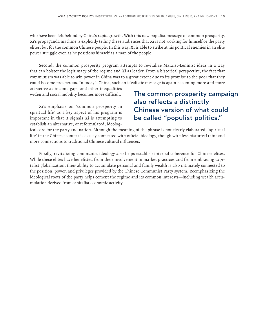who have been left behind by China's rapid growth. With this new populist message of common prosperity, Xi's propaganda machine is explicitly telling these audiences that Xi is not working for himself or the party elites, but for the common Chinese people. In this way, Xi is able to strike at his political enemies in an elite power struggle even as he positions himself as a man of the people.

Second, the common prosperity program attempts to revitalize Marxist-Leninist ideas in a way that can bolster the legitimacy of the regime and Xi as leader. From a historical perspective, the fact that communism was able to win power in China was to a great extent due to its promise to the poor that they could become prosperous. In today's China, such an idealistic message is again becoming more and more attractive as income gaps and other inequalities

widen and social mobility becomes more difficult.

Xi's emphasis on "common prosperity in spiritual life" as a key aspect of his program is important in that it signals Xi is attempting to establish an alternative, or reformulated, ideolog-

#### The common prosperity campaign also reflects a distinctly Chinese version of what could be called "populist politics."

ical core for the party and nation. Although the meaning of the phrase is not clearly elaborated, "spiritual life" in the Chinese context is closely connected with official ideology, though with less historical taint and more connections to traditional Chinese cultural influences.

Finally, revitalizing communist ideology also helps establish internal coherence for Chinese elites. While these elites have benefitted from their involvement in market practices and from embracing capitalist globalization, their ability to accumulate personal and family wealth is also intimately connected to the position, power, and privileges provided by the Chinese Communist Party system. Reemphasizing the ideological roots of the party helps cement the regime and its common interests—including wealth accumulation derived from capitalist economic activity.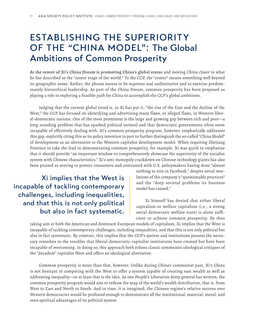## ESTABLISHING THE SUPERIORITY OF THE "CHINA MODEL": The Global Ambitions of Common Prosperity

**At the center of Xi's China Dream is promoting China's global status** and moving China closer to what he has described as the "center stage of the world." To the CCP, the "center" means something well beyond its geographic sense. Rather, the phrase means to be supreme and authoritative and to exercise predominantly hierarchical leadership. As part of the China Dream, common prosperity has been proposed as playing a role in exploring a feasible path for China to accomplish the CCP's global ambitions.

Judging that the current global trend is, as Xi has put it, "the rise of the East and the decline of the West," the CCP has focused on identifying and advertising many flaws, or alleged flaws, in Western liberal-democratic nations. One of the most prominent is the large and growing gap between rich and poor—a long-standing problem that has sparked political turmoil and that democratic governments often seem incapable of effectively dealing with. Xi's common prosperity program, however, emphatically addresses this gap, explicitly citing this as its policy intention in part to further distinguish the so-called "China Model" of development as an alternative to the Western capitalist development model. When requiring Zhejiang Province to take the lead in demonstrating common prosperity, for example, Xi was quick to emphasize that it should provide "an important window to comprehensively showcase the superiority of the socialist system with Chinese characteristics." Xi's anti-monopoly crackdown on Chinese technology giants has also been praised as serving to protect consumers and contrasted with U.S. policymakers having done "almost

Xi implies that the West is incapable of tackling contemporary challenges, including inequalities, and that this is not only political but also in fact systematic.

nothing to rein in Facebook," despite serial revelations of the company's "questionable practices" and the "deep societal problems its business model has caused."

Xi himself has denied that either liberal capitalism or welfare capitalism (i.e., a strong social democratic welfare state) is alone sufficient to achieve common prosperity. By thus

taking aim at both the American and dominant European models of capitalism, Xi implies that the West is incapable of tackling contemporary challenges, including inequalities, and that this is not only political but also in fact systematic. By contrast, this implies that the CCP's system and institutions possess the necessary remedies to the troubles that liberal-democratic-capitalist institutions have created but have been incapable of overcoming. In doing so, this approach both echoes classic communist ideological critiques of the "decadent" capitalist West and offers an ideological alternative.

Common prosperity is more than that, however. Unlike during China's communist past, Xi's China is not hesitant in competing with the West to offer a system capable of creating vast wealth as well as addressing inequality—or at least that is the idea. As one People's Liberation Army general has written, the common prosperity program would aim to redraw the map of the world's wealth distribution, that is, from West to East and North to South. And in time, it is imagined, the Chinese regime's relative success over Western democracies would be profound enough to demonstrate all the institutional, material, moral, and even spiritual advantages of its political system.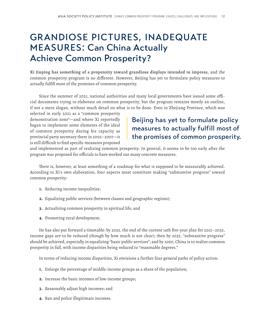## GRANDIOSE PICTURES, INADEQUATE MEASURES: Can China Actually Achieve Common Prosperity?

**Xi Jinping has something of a propensity toward grandiose displays intended to impress,** and the common prosperity program is no different. However, Beijing has yet to formulate policy measures to actually fulfill most of the promises of common prosperity.

Since the summer of 2021, national authorities and many local governments have issued some official documents trying to elaborate on common prosperity, but the program remains mostly an outline, if not a mere slogan, without much detail on what is to be done. Even in Zhejiang Province, which was

selected in early 2021 as a "common prosperity demonstration zone"—and where Xi reportedly began to implement some elements of the ideal of common prosperity during his capacity as provincial party secretary there in 2002–2007—it is still difficult to find specific measures proposed

#### Beijing has yet to formulate policy measures to actually fulfill most of the promises of common prosperity.

and implemented as part of realizing common prosperity. In general, it seems to be too early after the program was proposed for officials to have worked out many concrete measures.

There is, however, at least something of a roadmap for what is supposed to be measurably achieved. According to Xi's own elaboration, four aspects must constitute making "substantive progress" toward common prosperity:

- **1.** Reducing income inequalities;
- **2.** Equalizing public services (between classes and geographic regions);
- **3.** Actualizing common prosperity in spiritual life; and
- **4.** Promoting rural development.

He has also put forward a timetable: by 2025, the end of the current 14th five-year plan for 2021–2025, income gaps are to be reduced (though by how much is not clear); then by 2035, "substantive progress" should be achieved, especially in equalizing "basic public services"; and by 2050, China is to realize common prosperity in full, with income disparities being reduced to "reasonable degrees."

In terms of reducing income disparities, Xi envisions a further four general paths of policy action:

- **1.** Enlarge the percentage of middle-income groups as a share of the population;
- **2.** Increase the basic incomes of low-income groups;
- **3.** Reasonably adjust high incomes; and
- **4.** Ban and police illegitimate incomes.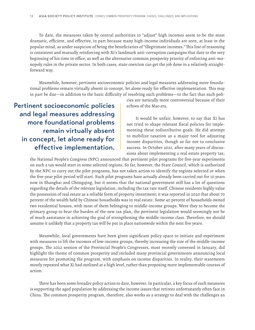To date, the measures taken by central authorities to "adjust" high incomes seem to be the most dramatic, efficient, and effective, in part because many high-income individuals are seen, at least in the popular mind, as under suspicion of being the beneficiaries of "illegitimate incomes." This line of reasoning is consistent and mutually reinforcing with Xi's landmark anti-corruption campaigns that date to the very beginning of his time in office, as well as the alternative common prosperity priority of enforcing anti-monopoly rules in the private sector. In both cases, state coercion can get the job done in a relatively straightforward way.

Meanwhile, however, pertinent socioeconomic policies and legal measures addressing more foundational problems remain virtually absent in concept, let alone ready for effective implementation. This may in part be due—in addition to the basic difficulty of resolving such problems—to the fact that such poli-

### Pertinent socioeconomic policies and legal measures addressing more foundational problems remain virtually absent in concept, let alone ready for effective implementation.

cies are naturally more controversial because of their echoes of the Mao era.

It would be unfair, however, to say that Xi has not tried to shape relevant fiscal policies for implementing these redistributive goals. He did attempt to mobilize taxation as a major tool for adjusting income disparities, though so far not to conclusive success. In October 2021, after many years of discussions about implementing a real estate property tax,

the National People's Congress (NPC) announced that pertinent pilot programs for five-year experiments on such a tax would start in some selected regions. So far, however, the State Council, which is authorized by the NPC to carry out the pilot programs, has not taken action to identify the regions selected or when the five-year pilot period will start. Such pilot programs have actually already been carried out for 10 years now in Shanghai and Chongqing, but it seems that the national government still has a lot of questions regarding the details of the relevant legislation, including the tax rate itself. Chinese residents highly value the possession of real estate as a reliable form of property investment; it was reported in 2020 that about 70 percent of the wealth held by Chinese households was in real estate. Some 40 percent of households owned two residential houses, with most of them belonging to middle-income groups. Were they to become the primary group to bear the burden of the new tax plan, the pertinent legislation would seemingly not be of much assistance in achieving the goal of strengthening the middle-income class. Therefore, we should assume it unlikely that a property tax will be put in place nationwide within the next five years.

Meanwhile, local governments have been given significant policy space to initiate and experiment with measures to lift the incomes of low-income groups, thereby increasing the size of the middle-income groups. The 2022 session of the Provincial People's Congresses, most recently convened in January, did highlight the theme of common prosperity and included many provincial governments announcing local measures for promoting the program, with emphasis on income disparities. In reality, their statements mostly repeated what Xi had outlined at a high level, rather than proposing more implementable courses of action.

There has been some broader policy action to date, however. In particular, a key focus of such measures is supporting the aged population by addressing the income issues that retirees unfortunately often face in China. The common prosperity program, therefore, also works as a strategy to deal with the challenges an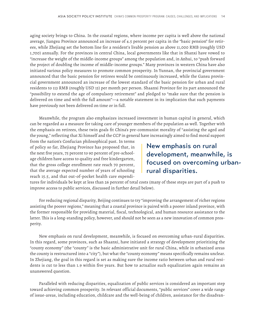aging society brings to China. In the coastal regions, where income per capita is well above the national average, Jiangsu Province announced an increase of 4.5 percent per capita in the "basic pension" for retirees, while Zhejiang set the bottom line for a resident's livable pension as above 11,000 RMB (roughly USD 1,700) annually. For the provinces in central China, local governments like that in Shanxi have vowed to "increase the weight of the middle-income groups" among the population and, in Anhui, to "push forward the project of doubling the income of middle-income groups." Many provinces in western China have also initiated various policy measures to promote common prosperity. In Yunnan, the provincial government announced that the basic pension for retirees would be continuously increased, while the Gansu provincial government announced an increase of the lowest standard of the basic pension for urban and rural residents to 113 RMB (roughly USD 15) per month per person. Shaanxi Province for its part announced the "possibility to extend the age of compulsory retirement" and pledged to "make sure that the pension is delivered on time and with the full amount"—a notable statement in its implication that such payments have previously not been delivered on time or in full.

Meanwhile, the program also emphasizes increased investment in human capital in general, which can be regarded as a measure for taking care of younger members of the population as well. Together with the emphasis on retirees, these twin goals fit China's pre-communist morality of "assisting the aged and the young," reflecting that Xi himself and the CCP in general have increasingly aimed to find moral support

from the nation's Confucian philosophical past. In terms of policy so far, Zhejiang Province has proposed that, in the next five years, 75 percent to 90 percent of pre-schoolage children have access to quality and free kindergarten, that the gross college enrollment rate reach 70 percent, that the average expected number of years of schooling reach 15.5, and that out-of-pocket health care expendi-

#### New emphasis on rural development, meanwhile, is focused on overcoming urbanrural disparities.

tures for individuals be kept at less than 26 percent of total costs (many of these steps are part of a push to improve access to public services, discussed in further detail below).

For reducing regional disparity, Beijing continues to try "improving the arrangement of richer regions assisting the poorer regions," meaning that a coastal province is paired with a poorer inland province, with the former responsible for providing material, fiscal, technological, and human resource assistance to the latter. This is a long-standing policy, however, and should not be seen as a new innovation of common prosperity.

New emphasis on rural development, meanwhile, is focused on overcoming urban-rural disparities. In this regard, some provinces, such as Shaanxi, have initiated a strategy of development prioritizing the "county economy" (the "county" is the basic administrative unit for rural China, while in urbanized areas the county is restructured into a "city"), but what the "county economy" means specifically remains unclear. In Zhejiang, the goal in this regard is set as making sure the income ratio between urban and rural residents is cut to less than 1.9 within five years. But how to actualize such equalization again remains an unanswered question.

Paralleled with reducing disparities, equalization of public services is considered an important step toward achieving common prosperity. In relevant official documents, "public services" cover a wide range of issue-areas, including education, childcare and the well-being of children, assistance for the disadvan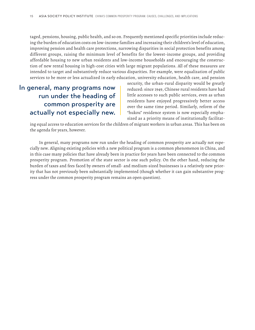taged, pensions, housing, public health, and so on. Frequently mentioned specific priorities include reducing the burden of education costs on low-income families and increasing their children's level of education, improving pension and health care protections, narrowing disparities in social protection benefits among different groups, raising the minimum level of benefits for the lowest-income groups, and providing affordable housing to new urban residents and low-income households and encouraging the construction of new rental housing in high-cost cities with large migrant populations. All of these measures are intended to target and substantively reduce various disparities. For example, were equalization of public services to be more or less actualized in early education, university education, health care, and pension

#### In general, many programs now run under the heading of common prosperity are actually not especially new.

security, the urban-rural disparity would be greatly reduced: since 1949, Chinese rural residents have had little accesses to such public services, even as urban residents have enjoyed progressively better access over the same time period. Similarly, reform of the "hukou" residence system is now especially emphasized as a priority means of institutionally facilitat-

ing equal access to education services for the children of migrant workers in urban areas. This has been on the agenda for years, however.

In general, many programs now run under the heading of common prosperity are actually not especially new. Aligning existing policies with a new political program is a common phenomenon in China, and in this case many policies that have already been in practice for years have been connected to the common prosperity program. Promotion of the state sector is one such policy. On the other hand, reducing the burden of taxes and fees faced by owners of small- and medium-sized businesses is a relatively new priority that has not previously been substantially implemented (though whether it can gain substantive progress under the common prosperity program remains an open question).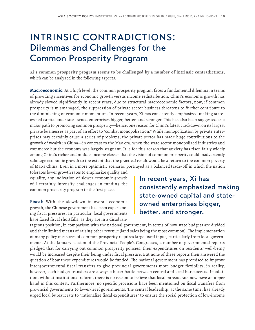### INTRINSIC CONTRADICTIONS: Dilemmas and Challenges for the Common Prosperity Program

**Xi's common prosperity program seems to be challenged by a number of intrinsic contradictions,** which can be analyzed in the following aspects.

**Macroeconomic:** At a high level, the common prosperity program faces a fundamental dilemma in terms of providing incentives for economic growth versus income redistribution. China's economic growth has already slowed significantly in recent years, due to structural macroeconomic factors; now, if common prosperity is mismanaged, the suppression of private sector business threatens to further contribute to the diminishing of economic momentum. In recent years, Xi has consistently emphasized making stateowned capital and state-owned enterprises bigger, better, and stronger. This has also been suggested as a major path to promoting common prosperity—hence, one reason for China's latest crackdown on its largest private businesses as part of an effort to "combat monopolization." While monopolization by private enterprises may certainly cause a series of problems, the private sector has made huge contributions to the growth of wealth in China—in contrast to the Mao era, when the state sector monopolized industries and commerce but the economy was largely stagnant. It is for this reason that anxiety has risen fairly widely among China's richer and middle-income classes that the vision of common prosperity could inadvertently sabotage economic growth to the extent that the practical result would be a return to the common poverty of Mao's China. Even in a more optimistic scenario, portrayed as a balanced trade-off in which the nation

tolerates lower growth rates to emphasize quality and equality, any indication of slower economic growth will certainly intensify challenges in funding the common prosperity program in the first place.

**Fiscal:** With the slowdown in overall economic growth, the Chinese government has been experiencing fiscal pressures. In particular, local governments have faced fiscal shortfalls, as they are in a disadvanIn recent years, Xi has consistently emphasized making state-owned capital and stateowned enterprises bigger, better, and stronger.

tageous position, in comparison with the national government, in terms of how state budgets are divided and their limited means of raising other revenue (land sales being the most common). The implementation of many policy measures of common prosperity requires large fiscal input, particularly from local governments. At the January session of the Provincial People's Congresses, a number of governmental reports pledged that for carrying out common prosperity policies, their expenditures on residents' well-being would be increased despite their being under fiscal pressure. But none of these reports then answered the question of how these expenditures would be funded. The national government has promised to improve intergovernmental fiscal transfers to give provincial governments more budget flexibility; in reality, however, such budget transfers are always a bitter battle between central and local bureaucrats. In addition, without institutional reform, there is no reason to believe that local bureaucrats now have an upper hand in this contest. Furthermore, no specific provisions have been mentioned on fiscal transfers from provincial governments to lower-level governments. The central leadership, at the same time, has already urged local bureaucrats to "rationalize fiscal expenditures" to ensure the social protection of low-income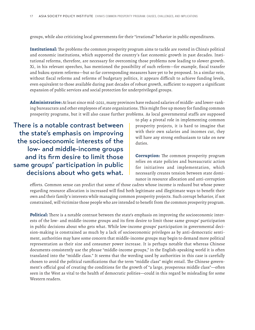groups, while also criticizing local governments for their "irrational" behavior in public expenditures.

**Institutional:** The problems the common prosperity program aims to tackle are rooted in China's political and economic institutions, which supported the country's fast economic growth in past decades. Institutional reforms, therefore, are necessary for overcoming those problems now leading to slower growth. Xi, in his relevant speeches, has mentioned the possibility of such reform—for example, fiscal transfer and hukou system reforms—but so far corresponding measures have yet to be proposed. In a similar vein, without fiscal reforms and reforms of budgetary politics, it appears difficult to achieve funding levels, even equivalent to those available during past decades of robust growth, sufficient to support a significant expansion of public services and social protection for underprivileged groups.

**Administrative:** At least since mid-2021, many provinces have reduced salaries of middle- and lower-ranking bureaucrats and other employees of state organizations. This might free up money for funding common prosperity programs, but it will also cause further problems. As local governmental staffs are supposed

There is a notable contrast between the state's emphasis on improving the socioeconomic interests of the low- and middle-income groups and its firm desire to limit those same groups' participation in public decisions about who gets what.

to play a pivotal role in implementing common prosperity projects, it is hard to imagine that with their own salaries and incomes cut, they will have any strong enthusiasm to take on new duties.

**Corruption:** The common prosperity program relies on state policies and bureaucratic action for initiatives and implementation, which necessarily creates tension between state dominance in resource allocation and anti-corruption

efforts. Common sense can predict that some of those cadres whose income is reduced but whose power regarding resource allocation is increased will find both legitimate and illegitimate ways to benefit their own and their family's interests while managing common prosperity projects. Such corrupt behavior, if not constrained, will victimize those people who are intended to benefit from the common prosperity program.

**Political:** There is a notable contrast between the state's emphasis on improving the socioeconomic interests of the low- and middle-income groups and its firm desire to limit those same groups' participation in public decisions about who gets what. While low-income groups' participation in governmental decision-making is constrained as much by a lack of socioeconomic privileges as by anti-democratic sentiment, authorities may have some concern that middle-income groups may begin to demand more political representation as their size and consumer power increase. It is perhaps notable that whereas Chinese documents consistently use the phrase "middle-income groups," in the English-speaking world it is often translated into the "middle class." It seems that the wording used by authorities in this case is carefully chosen to avoid the political ramifications that the term "middle class" might entail. The Chinese government's official goal of creating the conditions for the growth of "a large, prosperous middle class"—often seen in the West as vital to the health of democratic polities—could in this regard be misleading for some Western readers.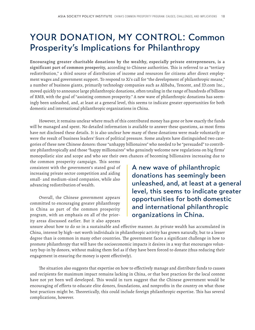### YOUR DONATION, MY CONTROL: Common Prosperity's Implications for Philanthropy

**Encouraging greater charitable donations by the wealthy, especially private entrepreneurs, is a significant part of common prosperity,** according to Chinese authorities. This is referred to as "tertiary redistribution," a third source of distribution of income and resources for citizens after direct employment wages and government support. To respond to Xi's call for "the development of philanthropic means," a number of business giants, primarily technology companies such as Alibaba, Tencent, and JD.com Inc., moved quickly to announce large philanthropic donations, often totaling in the range of hundreds of billions of RMB, with the goal of "assisting common prosperity." A new wave of philanthropic donations has seemingly been unleashed, and, at least at a general level, this seems to indicate greater opportunities for both domestic and international philanthropic organizations in China.

However, it remains unclear where much of this contributed money has gone or how exactly the funds will be managed and spent. No detailed information is available to answer these questions, as most firms have not disclosed these details. It is also unclear how many of these donations were made voluntarily or were the result of business leaders' fears of political pressure. Some analysts have distinguished two categories of these new Chinese donors: those "unhappy billionaires" who needed to be "persuaded" to contribute philanthropically and those "happy millionaires" who genuinely welcome new regulations on big firms' monopolistic size and scope and who see their own chances of becoming billionaires increasing due to

the common prosperity campaign. This seems consistent with the government's stated goal of increasing private sector competition and aiding small- and medium-sized companies, while also advancing redistribution of wealth.

Overall, the Chinese government appears committed to encouraging greater philanthropy in China as part of the common prosperity program, with an emphasis on all of the priority areas discussed earlier. But it also appears A new wave of philanthropic donations has seemingly been unleashed, and, at least at a general level, this seems to indicate greater opportunities for both domestic and international philanthropic organizations in China.

unsure about how to do so in a sustainable and effective manner. As private wealth has accumulated in China, interest by high–net worth individuals in philanthropic activity has grown naturally, but to a lesser degree than is common in many other countries. The government faces a significant challenge in how to promote philanthropy that will have the socioeconomic impacts it desires in a way that encourages voluntary buy-in by donors, without making them feel as if they have been forced to donate (thus reducing their engagement in ensuring the money is spent effectively).

The situation also suggests that expertise on how to effectively manage and distribute funds to causes and recipients for maximum impact remains lacking in China, or that best practices for the local context have not yet been well developed. This would in turn suggest that the Chinese government would be encouraging of efforts to educate elite donors, foundations, and nonprofits in the country on what those best practices might be. Theoretically, this could include foreign philanthropic expertise. This has several complications, however.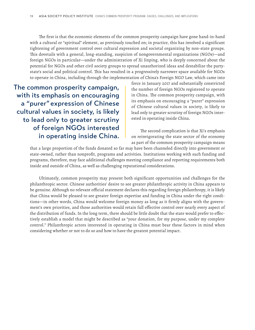The first is that the economic elements of the common prosperity campaign have gone hand-in-hand with a cultural or "spiritual" element, as previously touched on; in practice, this has involved a significant tightening of government control over cultural expression and societal organizing by non-state groups. This dovetails with a general, long-standing, suspicion of nongovernmental organizations (NGOs)—and foreign NGOs in particular—under the administration of Xi Jinping, who is deeply concerned about the potential for NGOs and other civil society groups to spread unauthorized ideas and destabilize the partystate's social and political control. This has resulted in a progressively narrower space available for NGOs to operate in China, including through the implementation of China's Foreign NGO Law, which came into

The common prosperity campaign, with its emphasis on encouraging a "purer" expression of Chinese cultural values in society, is likely to lead only to greater scrutiny of foreign NGOs interested in operating inside China.

force in January 2017 and substantially constricted the number of foreign NGOs registered to operate in China. The common prosperity campaign, with its emphasis on encouraging a "purer" expression of Chinese cultural values in society, is likely to lead only to greater scrutiny of foreign NGOs interested in operating inside China.

The second complication is that Xi's emphasis on reinvigorating the state sector of the economy as part of the common prosperity campaign means

that a large proportion of the funds donated so far may have been channeled directly into government or state-owned, rather than nonprofit, programs and activities. Institutions working with such funding and programs, therefore, may face additional challenges meeting compliance and reporting requirements both inside and outside of China, as well as challenging reputational considerations.

Ultimately, common prosperity may present both significant opportunities and challenges for the philanthropic sector. Chinese authorities' desire to see greater philanthropic activity in China appears to be genuine. Although no relevant official statement declares this regarding foreign philanthropy, it is likely that China would be pleased to see greater foreign expertise and funding in China under the right conditions—in other words, China would welcome foreign money as long as it firmly aligns with the government's own priorities, and those authorities would retain full effective control over nearly every aspect of the distribution of funds. In the long term, there should be little doubt that the state would prefer to effectively establish a model that might be described as "your donation, for my purpose, under my complete control." Philanthropic actors interested in operating in China must bear these factors in mind when considering whether or not to do so and how to have the greatest potential impact.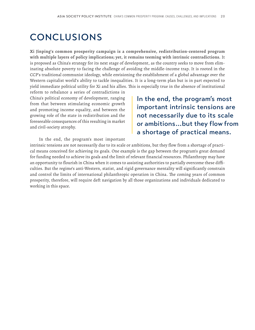### CONCLUSIONS

**Xi Jinping's common prosperity campaign is a comprehensive, redistribution-centered program with multiple layers of policy implications; yet, it remains teeming with intrinsic contradictions.** It is proposed as China's strategy for its next stage of development, as the country seeks to move from eliminating absolute poverty to facing the challenge of avoiding the middle-income trap. It is rooted in the CCP's traditional communist ideology, while envisioning the establishment of a global advantage over the Western capitalist world's ability to tackle inequalities. It is a long-term plan but is in part expected to yield immediate political utility for Xi and his allies. This is especially true in the absence of institutional

reform to rebalance a series of contradictions in China's political economy of development, ranging from that between stimulating economic growth and promoting income equality, and between the growing role of the state in redistribution and the foreseeable consequences of this resulting in market and civil-society atrophy.

In the end, the program's most important intrinsic tensions are not necessarily due to its scale or ambitions...but they flow from a shortage of practical means.

In the end, the program's most important

intrinsic tensions are not necessarily due to its scale or ambitions, but they flow from a shortage of practical means conceived for achieving its goals. One example is the gap between the program's great demand for funding needed to achieve its goals and the limit of relevant financial resources. Philanthropy may have an opportunity to flourish in China when it comes to assisting authorities to partially overcome these difficulties. But the regime's anti-Western, statist, and rigid governance mentality will significantly constrain and control the limits of international philanthropic operation in China. The coming years of common prosperity, therefore, will require deft navigation by all those organizations and individuals dedicated to working in this space.